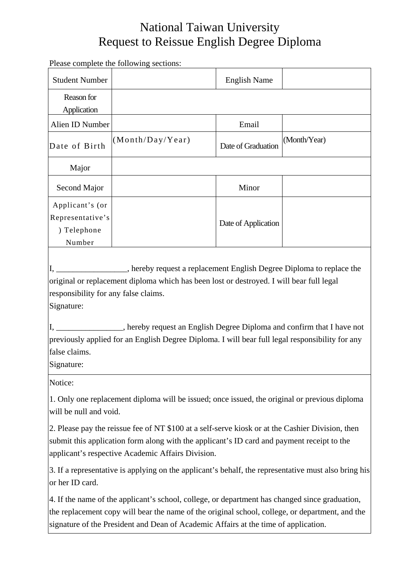## National Taiwan University Request to Reissue English Degree Diploma

Please complete the following sections: Student Number **English Name** Reason for Application Alien ID Number **Email** Date of Birth  $(Month/Day/Year)$  Date of Graduation  $(Month/Year)$ Major Second Major Ninor Applicant's (or Representative's ) Telephone Number Date of Application I, \_\_\_\_\_\_\_\_\_\_\_\_\_\_\_\_\_, hereby request a replacement English Degree Diploma to replace the original or replacement diploma which has been lost or destroyed. I will bear full legal responsibility for any false claims. Signature: I, \_\_\_\_\_\_\_\_\_\_\_\_\_\_\_\_, hereby request an English Degree Diploma and confirm that I have not previously applied for an English Degree Diploma. I will bear full legal responsibility for any false claims. Signature: Notice: 1. Only one replacement diploma will be issued; once issued, the original or previous diploma will be null and void. 2. Please pay the reissue fee of NT \$100 at a self-serve kiosk or at the Cashier Division, then submit this application form along with the applicant's ID card and payment receipt to the applicant's respective Academic Affairs Division. 3. If a representative is applying on the applicant's behalf, the representative must also bring his or her ID card.

4. If the name of the applicant's school, college, or department has changed since graduation, the replacement copy will bear the name of the original school, college, or department, and the signature of the President and Dean of Academic Affairs at the time of application.